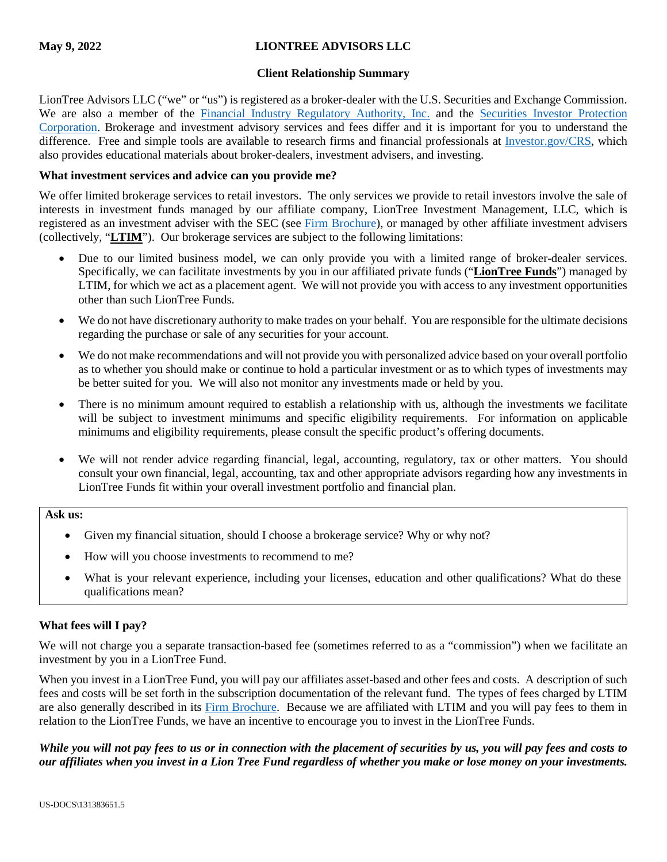# **May 9, 2022 LIONTREE ADVISORS LLC**

#### **Client Relationship Summary**

LionTree Advisors LLC ("we" or "us") is registered as a broker-dealer with the U.S. Securities and Exchange Commission. We are also a member of the [Financial Industry Regulatory Authority, Inc.](http://www.finra.org/) and the Securities Investor Protection [Corporation.](https://www.sipc.org/) Brokerage and investment advisory services and fees differ and it is important for you to understand the difference. Free and simple tools are available to research firms and financial professionals at [Investor.gov/CRS,](https://www.investor.gov/CRS) which also provides educational materials about broker-dealers, investment advisers, and investing.

## **What investment services and advice can you provide me?**

We offer limited brokerage services to retail investors. The only services we provide to retail investors involve the sale of interests in investment funds managed by our affiliate company, LionTree Investment Management, LLC, which is registered as an investment adviser with the SEC (see [Firm Brochure\)](https://files.adviserinfo.sec.gov/IAPD/Content/Common/crd_iapd_Brochure.aspx?BRCHR_VRSN_ID=774237), or managed by other affiliate investment advisers (collectively, "**LTIM**"). Our brokerage services are subject to the following limitations:

- Due to our limited business model, we can only provide you with a limited range of broker-dealer services. Specifically, we can facilitate investments by you in our affiliated private funds ("**LionTree Funds**") managed by LTIM, for which we act as a placement agent. We will not provide you with access to any investment opportunities other than such LionTree Funds.
- We do not have discretionary authority to make trades on your behalf. You are responsible for the ultimate decisions regarding the purchase or sale of any securities for your account.
- We do not make recommendations and will not provide you with personalized advice based on your overall portfolio as to whether you should make or continue to hold a particular investment or as to which types of investments may be better suited for you. We will also not monitor any investments made or held by you.
- There is no minimum amount required to establish a relationship with us, although the investments we facilitate will be subject to investment minimums and specific eligibility requirements. For information on applicable minimums and eligibility requirements, please consult the specific product's offering documents.
- We will not render advice regarding financial, legal, accounting, regulatory, tax or other matters. You should consult your own financial, legal, accounting, tax and other appropriate advisors regarding how any investments in LionTree Funds fit within your overall investment portfolio and financial plan.

## **Ask us:**

- Given my financial situation, should I choose a brokerage service? Why or why not?
- How will you choose investments to recommend to me?
- What is your relevant experience, including your licenses, education and other qualifications? What do these qualifications mean?

## **What fees will I pay?**

We will not charge you a separate transaction-based fee (sometimes referred to as a "commission") when we facilitate an investment by you in a LionTree Fund.

When you invest in a LionTree Fund, you will pay our affiliates asset-based and other fees and costs. A description of such fees and costs will be set forth in the subscription documentation of the relevant fund. The types of fees charged by LTIM are also generally described in its [Firm Brochure.](https://files.adviserinfo.sec.gov/IAPD/Content/Common/crd_iapd_Brochure.aspx?BRCHR_VRSN_ID=774237) Because we are affiliated with LTIM and you will pay fees to them in relation to the LionTree Funds, we have an incentive to encourage you to invest in the LionTree Funds.

# *While you will not pay fees to us or in connection with the placement of securities by us, you will pay fees and costs to our affiliates when you invest in a Lion Tree Fund regardless of whether you make or lose money on your investments.*